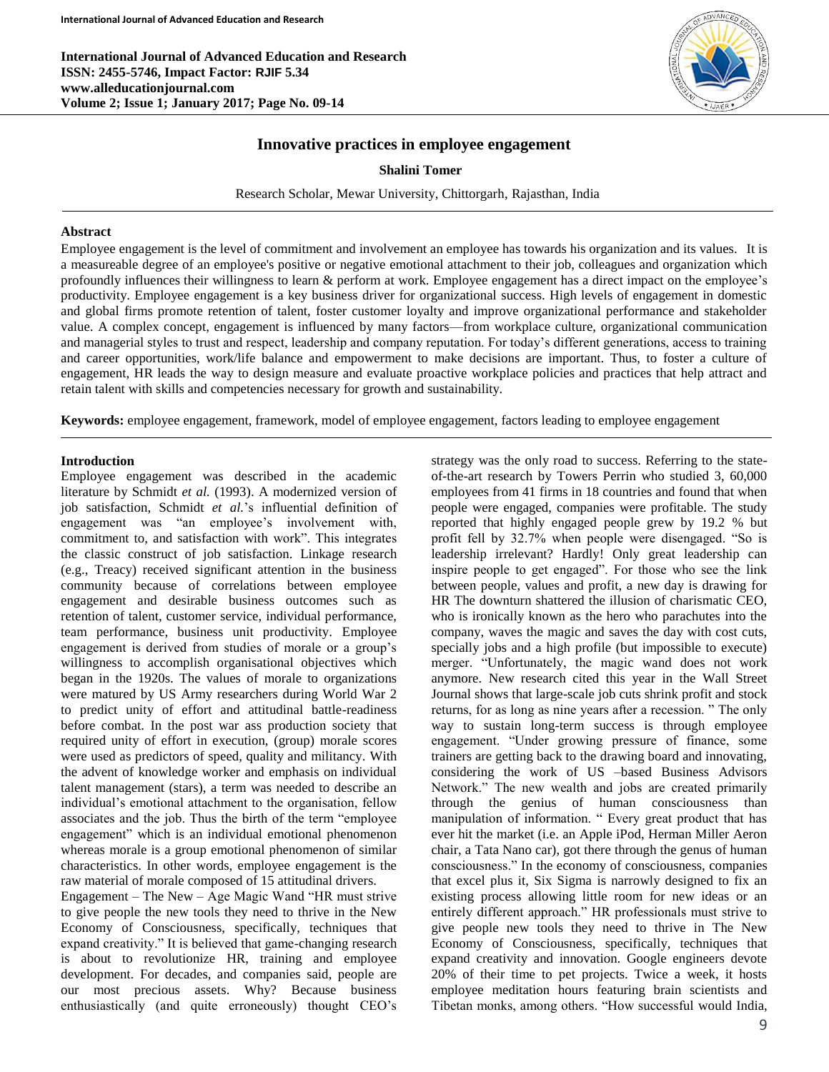**International Journal of Advanced Education and Research ISSN: 2455-5746, Impact Factor: RJIF 5.34 www.alleducationjournal.com Volume 2; Issue 1; January 2017; Page No. 09-14**



# **Innovative practices in employee engagement**

#### **Shalini Tomer**

Research Scholar, Mewar University, Chittorgarh, Rajasthan, India

#### **Abstract**

Employee engagement is the level of commitment and involvement an employee has towards his organization and its values. It is a measureable degree of an employee's positive or negative emotional attachment to their job, colleagues and organization which profoundly influences their willingness to learn & perform at work. Employee engagement has a direct impact on the employee's productivity. Employee engagement is a key business driver for organizational success. High levels of engagement in domestic and global firms promote retention of talent, foster customer loyalty and improve organizational performance and stakeholder value. A complex concept, engagement is influenced by many factors—from workplace culture, organizational communication and managerial styles to trust and respect, leadership and company reputation. For today's different generations, access to training and career opportunities, work/life balance and empowerment to make decisions are important. Thus, to foster a culture of engagement, HR leads the way to design measure and evaluate proactive workplace policies and practices that help attract and retain talent with skills and competencies necessary for growth and sustainability.

**Keywords:** employee engagement, framework, model of employee engagement, factors leading to employee engagement

#### **Introduction**

Employee engagement was described in the academic literature by Schmidt *et al.* (1993). A modernized version of job satisfaction, Schmidt *et al.*'s influential definition of engagement was "an employee's involvement with, commitment to, and satisfaction with work". This integrates the classic construct of job satisfaction. Linkage research (e.g., Treacy) received significant attention in the business community because of correlations between employee engagement and desirable business outcomes such as retention of talent, customer service, individual performance, team performance, business unit productivity. Employee engagement is derived from studies of morale or a group's willingness to accomplish organisational objectives which began in the 1920s. The values of morale to organizations were matured by US Army researchers during World War 2 to predict unity of effort and attitudinal battle-readiness before combat. In the post war ass production society that required unity of effort in execution, (group) morale scores were used as predictors of speed, quality and militancy. With the advent of knowledge worker and emphasis on individual talent management (stars), a term was needed to describe an individual's emotional attachment to the organisation, fellow associates and the job. Thus the birth of the term "employee engagement" which is an individual emotional phenomenon whereas morale is a group emotional phenomenon of similar characteristics. In other words, employee engagement is the raw material of morale composed of 15 attitudinal drivers.

Engagement – The New – Age Magic Wand "HR must strive to give people the new tools they need to thrive in the New Economy of Consciousness, specifically, techniques that expand creativity." It is believed that game-changing research is about to revolutionize HR, training and employee development. For decades, and companies said, people are our most precious assets. Why? Because business enthusiastically (and quite erroneously) thought CEO's

strategy was the only road to success. Referring to the stateof-the-art research by Towers Perrin who studied 3, 60,000 employees from 41 firms in 18 countries and found that when people were engaged, companies were profitable. The study reported that highly engaged people grew by 19.2 % but profit fell by 32.7% when people were disengaged. "So is leadership irrelevant? Hardly! Only great leadership can inspire people to get engaged". For those who see the link between people, values and profit, a new day is drawing for HR The downturn shattered the illusion of charismatic CEO, who is ironically known as the hero who parachutes into the company, waves the magic and saves the day with cost cuts, specially jobs and a high profile (but impossible to execute) merger. "Unfortunately, the magic wand does not work anymore. New research cited this year in the Wall Street Journal shows that large-scale job cuts shrink profit and stock returns, for as long as nine years after a recession. " The only way to sustain long-term success is through employee engagement. "Under growing pressure of finance, some trainers are getting back to the drawing board and innovating, considering the work of US –based Business Advisors Network." The new wealth and jobs are created primarily through the genius of human consciousness than manipulation of information. " Every great product that has ever hit the market (i.e. an Apple iPod, Herman Miller Aeron chair, a Tata Nano car), got there through the genus of human consciousness." In the economy of consciousness, companies that excel plus it, Six Sigma is narrowly designed to fix an existing process allowing little room for new ideas or an entirely different approach." HR professionals must strive to give people new tools they need to thrive in The New Economy of Consciousness, specifically, techniques that expand creativity and innovation. Google engineers devote 20% of their time to pet projects. Twice a week, it hosts employee meditation hours featuring brain scientists and Tibetan monks, among others. "How successful would India,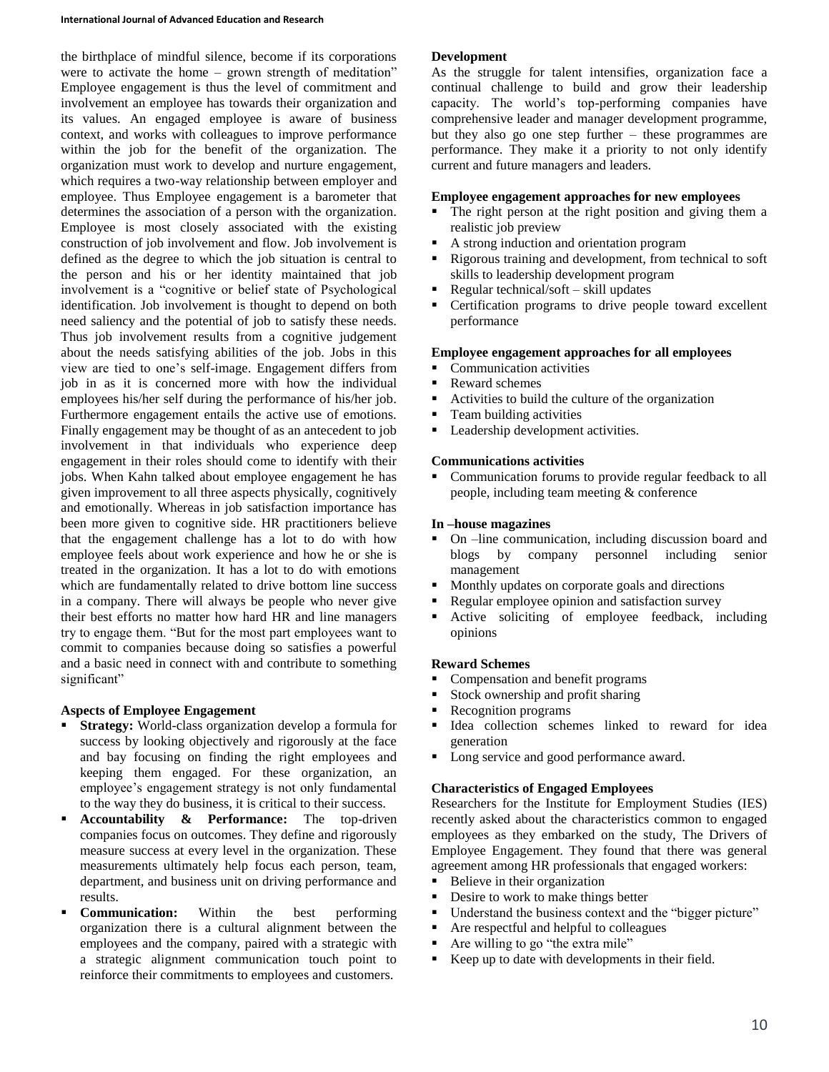the birthplace of mindful silence, become if its corporations were to activate the home – grown strength of meditation" Employee engagement is thus the level of commitment and involvement an employee has towards their organization and its values. An engaged employee is aware of business context, and works with colleagues to improve performance within the job for the benefit of the organization. The organization must work to develop and nurture engagement, which requires a two-way relationship between employer and employee. Thus Employee engagement is a barometer that determines the association of a person with the organization. Employee is most closely associated with the existing construction of job involvement and flow. Job involvement is defined as the degree to which the job situation is central to the person and his or her identity maintained that job involvement is a "cognitive or belief state of Psychological identification. Job involvement is thought to depend on both need saliency and the potential of job to satisfy these needs. Thus job involvement results from a cognitive judgement about the needs satisfying abilities of the job. Jobs in this view are tied to one's self-image. Engagement differs from job in as it is concerned more with how the individual employees his/her self during the performance of his/her job. Furthermore engagement entails the active use of emotions. Finally engagement may be thought of as an antecedent to job involvement in that individuals who experience deep engagement in their roles should come to identify with their jobs. When Kahn talked about employee engagement he has given improvement to all three aspects physically, cognitively and emotionally. Whereas in job satisfaction importance has been more given to cognitive side. HR practitioners believe that the engagement challenge has a lot to do with how employee feels about work experience and how he or she is treated in the organization. It has a lot to do with emotions which are fundamentally related to drive bottom line success in a company. There will always be people who never give their best efforts no matter how hard HR and line managers try to engage them. "But for the most part employees want to commit to companies because doing so satisfies a powerful and a basic need in connect with and contribute to something significant"

# **Aspects of Employee Engagement**

- **Strategy:** World-class organization develop a formula for success by looking objectively and rigorously at the face and bay focusing on finding the right employees and keeping them engaged. For these organization, an employee's engagement strategy is not only fundamental to the way they do business, it is critical to their success.
- **Accountability & Performance:** The top-driven companies focus on outcomes. They define and rigorously measure success at every level in the organization. These measurements ultimately help focus each person, team, department, and business unit on driving performance and results.
- **Communication:** Within the best performing organization there is a cultural alignment between the employees and the company, paired with a strategic with a strategic alignment communication touch point to reinforce their commitments to employees and customers.

#### **Development**

As the struggle for talent intensifies, organization face a continual challenge to build and grow their leadership capacity. The world's top-performing companies have comprehensive leader and manager development programme, but they also go one step further – these programmes are performance. They make it a priority to not only identify current and future managers and leaders.

#### **Employee engagement approaches for new employees**

- The right person at the right position and giving them a realistic job preview
- A strong induction and orientation program
- Rigorous training and development, from technical to soft skills to leadership development program
- Regular technical/soft skill updates
- Certification programs to drive people toward excellent performance

#### **Employee engagement approaches for all employees**

- Communication activities
- Reward schemes
- Activities to build the culture of the organization
- Team building activities
- **Leadership development activities.**

#### **Communications activities**

 Communication forums to provide regular feedback to all people, including team meeting & conference

#### **In –house magazines**

- On –line communication, including discussion board and blogs by company personnel including senior management
- Monthly updates on corporate goals and directions
- Regular employee opinion and satisfaction survey
- Active soliciting of employee feedback, including opinions

#### **Reward Schemes**

- Compensation and benefit programs
- Stock ownership and profit sharing
- Recognition programs
- Idea collection schemes linked to reward for idea generation
- Long service and good performance award.

#### **Characteristics of Engaged Employees**

Researchers for the Institute for Employment Studies (IES) recently asked about the characteristics common to engaged employees as they embarked on the study, The Drivers of Employee Engagement. They found that there was general agreement among HR professionals that engaged workers:

- Believe in their organization
- Desire to work to make things better
- Understand the business context and the "bigger picture"
- Are respectful and helpful to colleagues
- Are willing to go "the extra mile"
- Keep up to date with developments in their field.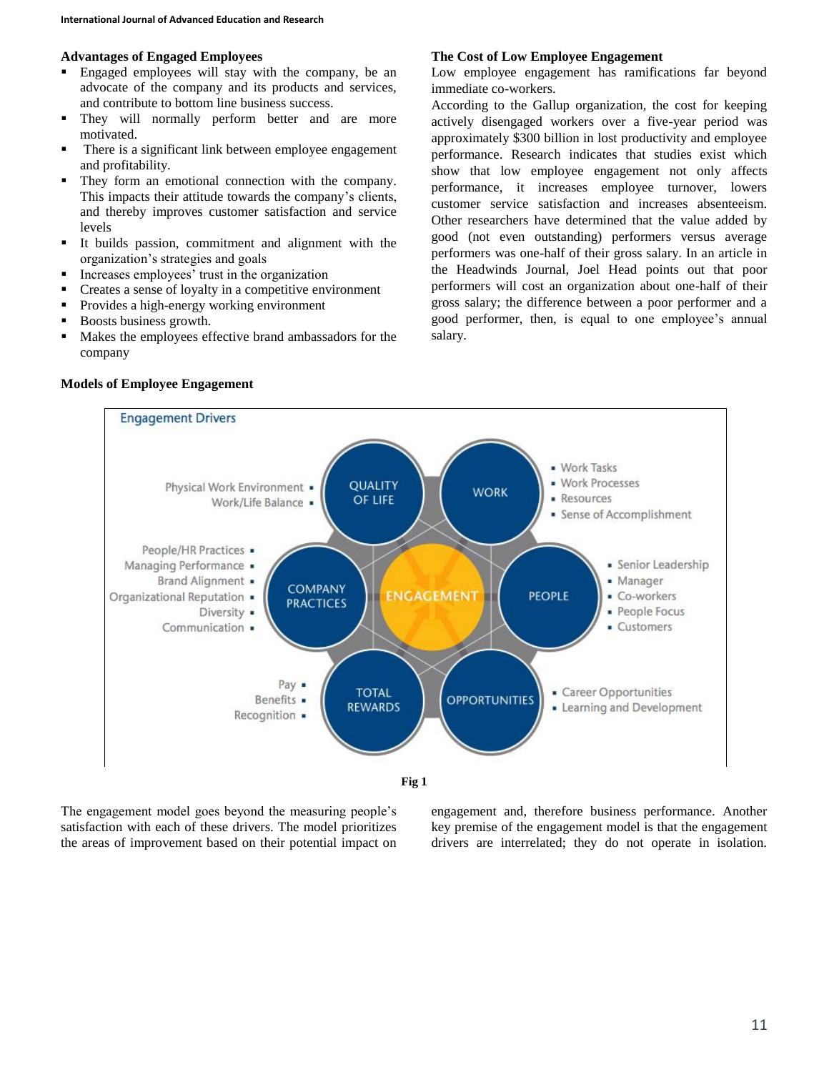#### **Advantages of Engaged Employees**

- Engaged employees will stay with the company, be an advocate of the company and its products and services, and contribute to bottom line business success.
- **They will normally perform better and are more** motivated.
- **There is a significant link between employee engagement** and profitability.
- They form an emotional connection with the company. This impacts their attitude towards the company's clients, and thereby improves customer satisfaction and service levels
- It builds passion, commitment and alignment with the organization's strategies and goals
- **Increases employees' trust in the organization**
- Creates a sense of loyalty in a competitive environment
- **Provides a high-energy working environment**
- Boosts business growth.
- Makes the employees effective brand ambassadors for the company

#### **Engagement Drivers** · Work Tasks · Work Processes **QUALITY** Physical Work Environment . **WORK** - Resources OF LIFE Work/Life Balance . · Sense of Accomplishment People/HR Practices . · Senior Leadership Managing Performance . Brand Alignment . · Manager **COMPANY ENGAGEMENT PEOPLE** Organizational Reputation . • Co-workers **PRACTICES** · People Focus Diversity . - Customers Communication . Pay . Career Opportunities **TOTAL OPPORTUNITIES** Benefits . **REWARDS** • Learning and Development Recognition .



The engagement model goes beyond the measuring people's satisfaction with each of these drivers. The model prioritizes the areas of improvement based on their potential impact on

engagement and, therefore business performance. Another key premise of the engagement model is that the engagement drivers are interrelated; they do not operate in isolation.

# **Models of Employee Engagement**

# **The Cost of Low Employee Engagement**

Low employee engagement has ramifications far beyond immediate co-workers.

According to the Gallup organization, the cost for keeping actively disengaged workers over a five-year period was approximately \$300 billion in lost productivity and employee performance. Research indicates that studies exist which show that low employee engagement not only affects performance, it increases employee turnover, lowers customer service satisfaction and increases absenteeism. Other researchers have determined that the value added by good (not even outstanding) performers versus average performers was one-half of their gross salary. In an article in the Headwinds Journal, Joel Head points out that poor performers will cost an organization about one-half of their gross salary; the difference between a poor performer and a good performer, then, is equal to one employee's annual salary.

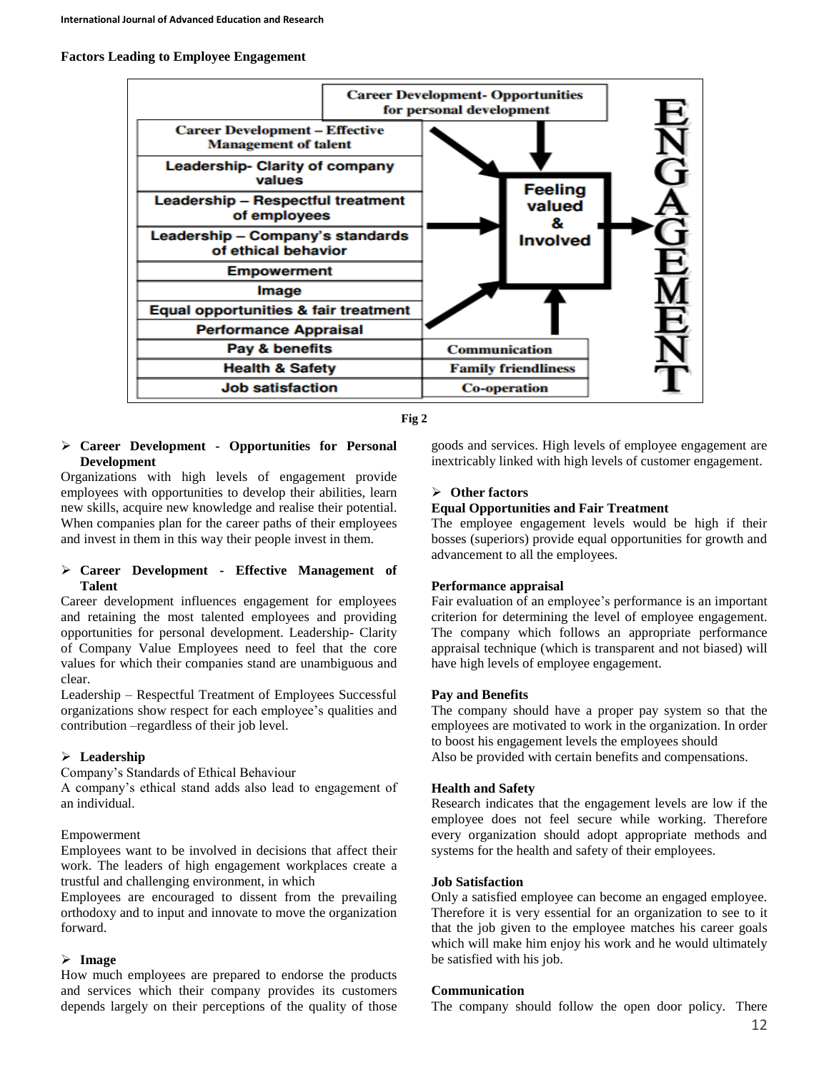#### **Factors Leading to Employee Engagement**



**Fig 2**

#### **Career Development - Opportunities for Personal Development**

Organizations with high levels of engagement provide employees with opportunities to develop their abilities, learn new skills, acquire new knowledge and realise their potential. When companies plan for the career paths of their employees and invest in them in this way their people invest in them.

# **Career Development - Effective Management of Talent**

Career development influences engagement for employees and retaining the most talented employees and providing opportunities for personal development. Leadership- Clarity of Company Value Employees need to feel that the core values for which their companies stand are unambiguous and clear.

Leadership – Respectful Treatment of Employees Successful organizations show respect for each employee's qualities and contribution –regardless of their job level.

# **Leadership**

Company's Standards of Ethical Behaviour

A company's ethical stand adds also lead to engagement of an individual.

# Empowerment

Employees want to be involved in decisions that affect their work. The leaders of high engagement workplaces create a trustful and challenging environment, in which

Employees are encouraged to dissent from the prevailing orthodoxy and to input and innovate to move the organization forward.

# **Image**

How much employees are prepared to endorse the products and services which their company provides its customers depends largely on their perceptions of the quality of those

goods and services. High levels of employee engagement are inextricably linked with high levels of customer engagement.

# **Other factors**

# **Equal Opportunities and Fair Treatment**

The employee engagement levels would be high if their bosses (superiors) provide equal opportunities for growth and advancement to all the employees.

# **Performance appraisal**

Fair evaluation of an employee's performance is an important criterion for determining the level of employee engagement. The company which follows an appropriate performance appraisal technique (which is transparent and not biased) will have high levels of employee engagement.

# **Pay and Benefits**

The company should have a proper pay system so that the employees are motivated to work in the organization. In order to boost his engagement levels the employees should Also be provided with certain benefits and compensations.

# **Health and Safety**

Research indicates that the engagement levels are low if the employee does not feel secure while working. Therefore every organization should adopt appropriate methods and systems for the health and safety of their employees.

# **Job Satisfaction**

Only a satisfied employee can become an engaged employee. Therefore it is very essential for an organization to see to it that the job given to the employee matches his career goals which will make him enjoy his work and he would ultimately be satisfied with his job.

# **Communication**

The company should follow the open door policy. There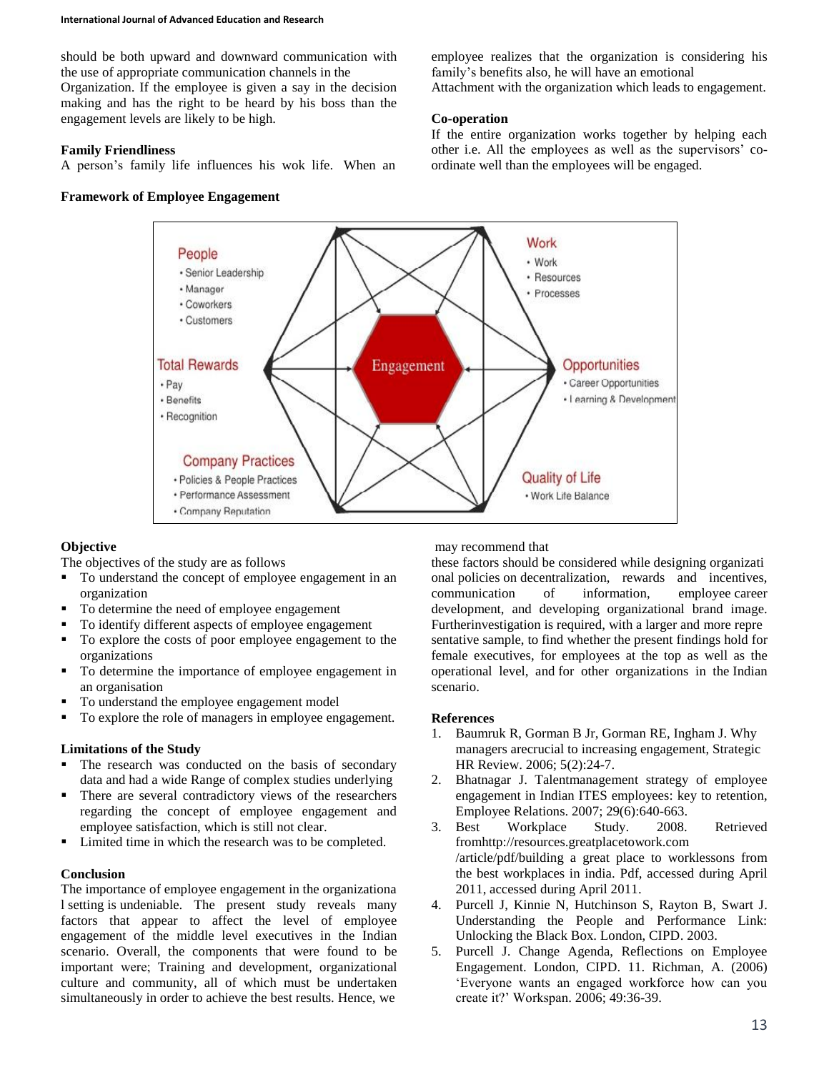#### **International Journal of Advanced Education and Research**

should be both upward and downward communication with the use of appropriate communication channels in the Organization. If the employee is given a say in the decision making and has the right to be heard by his boss than the engagement levels are likely to be high.

#### **Family Friendliness**

A person's family life influences his wok life. When an

#### **Framework of Employee Engagement**

employee realizes that the organization is considering his family's benefits also, he will have an emotional Attachment with the organization which leads to engagement.

# **Co-operation**

If the entire organization works together by helping each other i.e. All the employees as well as the supervisors' coordinate well than the employees will be engaged.



# **Objective**

The objectives of the study are as follows

- To understand the concept of employee engagement in an organization
- To determine the need of employee engagement
- To identify different aspects of employee engagement
- To explore the costs of poor employee engagement to the organizations
- To determine the importance of employee engagement in an organisation
- To understand the employee engagement model
- To explore the role of managers in employee engagement.

# **Limitations of the Study**

- The research was conducted on the basis of secondary data and had a wide Range of complex studies underlying
- There are several contradictory views of the researchers regarding the concept of employee engagement and employee satisfaction, which is still not clear.
- **Limited time in which the research was to be completed.**

# **Conclusion**

The importance of employee engagement in the organizationa l setting is undeniable. The present study reveals many factors that appear to affect the level of employee engagement of the middle level executives in the Indian scenario. Overall, the components that were found to be important were; Training and development, organizational culture and community, all of which must be undertaken simultaneously in order to achieve the best results. Hence, we

may recommend that

these factors should be considered while designing organizati onal policies on decentralization, rewards and incentives, communication of information, employee career development, and developing organizational brand image. Furtherinvestigation is required, with a larger and more repre sentative sample, to find whether the present findings hold for female executives, for employees at the top as well as the operational level, and for other organizations in the Indian scenario.

# **References**

- 1. Baumruk R, Gorman B Jr, Gorman RE, Ingham J. Why managers arecrucial to increasing engagement, Strategic HR Review. 2006; 5(2):24-7.
- 2. Bhatnagar J. Talentmanagement strategy of employee engagement in Indian ITES employees: key to retention, Employee Relations. 2007; 29(6):640-663.
- 3. Best Workplace Study. 2008. Retrieved fromhttp://resources.greatplacetowork.com /article/pdf/building a great place to worklessons from the best workplaces in india. Pdf, accessed during April 2011, accessed during April 2011.
- 4. Purcell J, Kinnie N, Hutchinson S, Rayton B, Swart J. Understanding the People and Performance Link: Unlocking the Black Box. London, CIPD. 2003.
- 5. Purcell J. Change Agenda, Reflections on Employee Engagement. London, CIPD. 11. Richman, A. (2006) 'Everyone wants an engaged workforce how can you create it?' Workspan. 2006; 49:36-39.